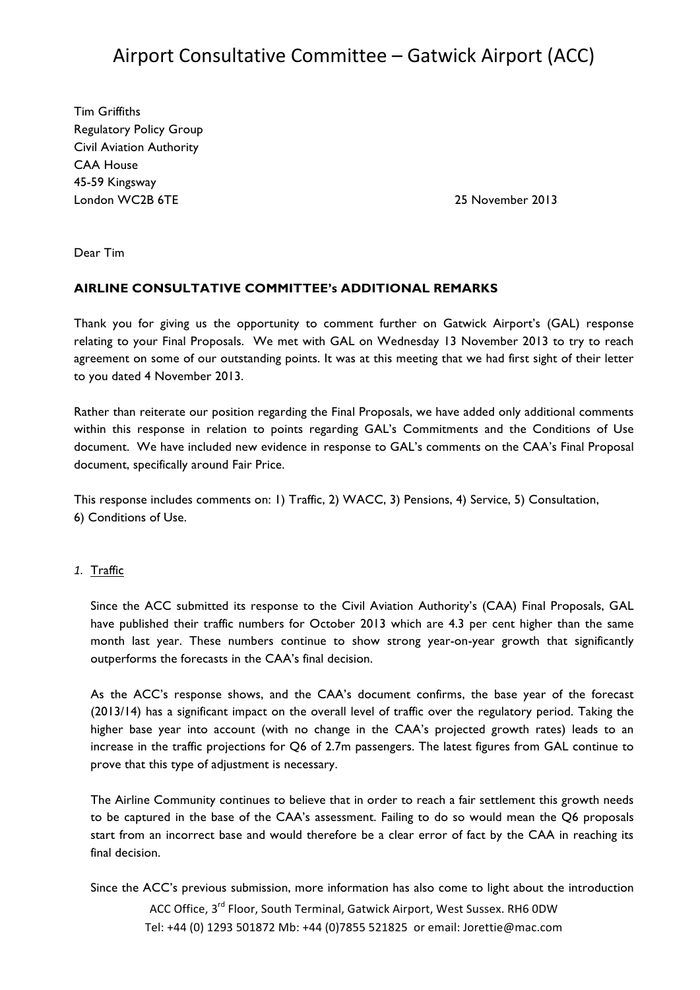# Airport Consultative Committee – Gatwick Airport (ACC)

Tim Griffiths Regulatory Policy Group Civil Aviation Authority CAA House 45-59 Kingsway London WC2B 6TE 25 November 2013

Dear Tim

#### **AIRLINE CONSULTATIVE COMMITTEE's ADDITIONAL REMARKS**

Thank you for giving us the opportunity to comment further on Gatwick Airport's (GAL) response relating to your Final Proposals. We met with GAL on Wednesday 13 November 2013 to try to reach agreement on some of our outstanding points. It was at this meeting that we had first sight of their letter to you dated 4 November 2013.

Rather than reiterate our position regarding the Final Proposals, we have added only additional comments within this response in relation to points regarding GAL's Commitments and the Conditions of Use document. We have included new evidence in response to GAL's comments on the CAA's Final Proposal document, specifically around Fair Price.

This response includes comments on: 1) Traffic, 2) WACC, 3) Pensions, 4) Service, 5) Consultation, 6) Conditions of Use.

#### *1.* Traffic

Since the ACC submitted its response to the Civil Aviation Authority's (CAA) Final Proposals, GAL have published their traffic numbers for October 2013 which are 4.3 per cent higher than the same month last year. These numbers continue to show strong year-on-year growth that significantly outperforms the forecasts in the CAA's final decision.

As the ACC's response shows, and the CAA's document confirms, the base year of the forecast (2013/14) has a significant impact on the overall level of traffic over the regulatory period. Taking the higher base year into account (with no change in the CAA's projected growth rates) leads to an increase in the traffic projections for Q6 of 2.7m passengers. The latest figures from GAL continue to prove that this type of adjustment is necessary.

The Airline Community continues to believe that in order to reach a fair settlement this growth needs to be captured in the base of the CAA's assessment. Failing to do so would mean the Q6 proposals start from an incorrect base and would therefore be a clear error of fact by the CAA in reaching its final decision.

ACC Office, 3<sup>rd</sup> Floor, South Terminal, Gatwick Airport, West Sussex. RH6 0DW Tel: +44 (0) 1293 501872 Mb: +44 (0)7855 521825 or email: Jorettie@mac.com Since the ACC's previous submission, more information has also come to light about the introduction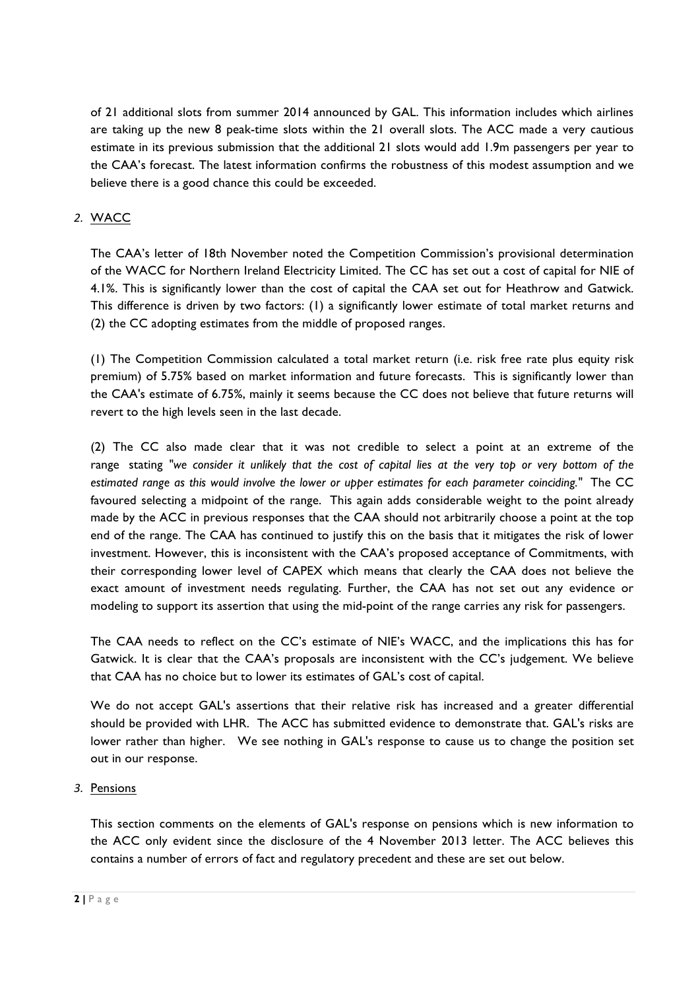of 21 additional slots from summer 2014 announced by GAL. This information includes which airlines are taking up the new 8 peak-time slots within the 21 overall slots. The ACC made a very cautious estimate in its previous submission that the additional 21 slots would add 1.9m passengers per year to the CAA's forecast. The latest information confirms the robustness of this modest assumption and we believe there is a good chance this could be exceeded.

# *2.* WACC

The CAA's letter of 18th November noted the Competition Commission's provisional determination of the WACC for Northern Ireland Electricity Limited. The CC has set out a cost of capital for NIE of 4.1%. This is significantly lower than the cost of capital the CAA set out for Heathrow and Gatwick. This difference is driven by two factors: (1) a significantly lower estimate of total market returns and (2) the CC adopting estimates from the middle of proposed ranges.

(1) The Competition Commission calculated a total market return (i.e. risk free rate plus equity risk premium) of 5.75% based on market information and future forecasts. This is significantly lower than the CAA's estimate of 6.75%, mainly it seems because the CC does not believe that future returns will revert to the high levels seen in the last decade.

(2) The CC also made clear that it was not credible to select a point at an extreme of the range stating *"we consider it unlikely that the cost of capital lies at the very top or very bottom of the estimated range as this would involve the lower or upper estimates for each parameter coinciding."* The CC favoured selecting a midpoint of the range. This again adds considerable weight to the point already made by the ACC in previous responses that the CAA should not arbitrarily choose a point at the top end of the range. The CAA has continued to justify this on the basis that it mitigates the risk of lower investment. However, this is inconsistent with the CAA's proposed acceptance of Commitments, with their corresponding lower level of CAPEX which means that clearly the CAA does not believe the exact amount of investment needs regulating. Further, the CAA has not set out any evidence or modeling to support its assertion that using the mid-point of the range carries any risk for passengers.

The CAA needs to reflect on the CC's estimate of NIE's WACC, and the implications this has for Gatwick. It is clear that the CAA's proposals are inconsistent with the CC's judgement. We believe that CAA has no choice but to lower its estimates of GAL's cost of capital.

We do not accept GAL's assertions that their relative risk has increased and a greater differential should be provided with LHR. The ACC has submitted evidence to demonstrate that. GAL's risks are lower rather than higher. We see nothing in GAL's response to cause us to change the position set out in our response.

### *3.* Pensions

This section comments on the elements of GAL's response on pensions which is new information to the ACC only evident since the disclosure of the 4 November 2013 letter. The ACC believes this contains a number of errors of fact and regulatory precedent and these are set out below.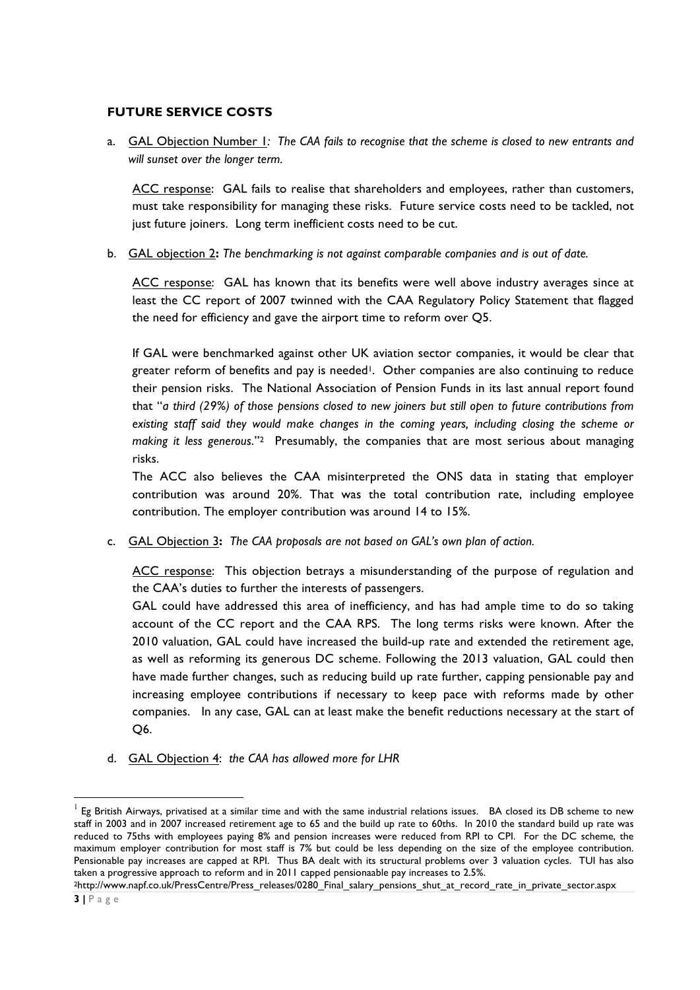#### **FUTURE SERVICE COSTS**

a. GAL Objection Number 1*: The CAA fails to recognise that the scheme is closed to new entrants and will sunset over the longer term.*

ACC response: GAL fails to realise that shareholders and employees, rather than customers, must take responsibility for managing these risks. Future service costs need to be tackled, not just future joiners. Long term inefficient costs need to be cut.

b. GAL objection 2**:** *The benchmarking is not against comparable companies and is out of date.*

ACC response: GAL has known that its benefits were well above industry averages since at least the CC report of 2007 twinned with the CAA Regulatory Policy Statement that flagged the need for efficiency and gave the airport time to reform over Q5.

If GAL were benchmarked against other UK aviation sector companies, it would be clear that greater reform of benefits and pay is needed<sup>1</sup>. Other companies are also continuing to reduce their pension risks. The National Association of Pension Funds in its last annual report found that "*a third (29%) of those pensions closed to new joiners but still open to future contributions from existing staff said they would make changes in the coming years, including closing the scheme or making it less generous*."2 Presumably, the companies that are most serious about managing risks.

The ACC also believes the CAA misinterpreted the ONS data in stating that employer contribution was around 20%. That was the total contribution rate, including employee contribution. The employer contribution was around 14 to 15%.

c. GAL Objection 3**:** *The CAA proposals are not based on GAL's own plan of action.*

ACC response: This objection betrays a misunderstanding of the purpose of regulation and the CAA's duties to further the interests of passengers.

GAL could have addressed this area of inefficiency, and has had ample time to do so taking account of the CC report and the CAA RPS. The long terms risks were known. After the 2010 valuation, GAL could have increased the build-up rate and extended the retirement age, as well as reforming its generous DC scheme. Following the 2013 valuation, GAL could then have made further changes, such as reducing build up rate further, capping pensionable pay and increasing employee contributions if necessary to keep pace with reforms made by other companies. In any case, GAL can at least make the benefit reductions necessary at the start of Q6.

d. GAL Objection 4: *the CAA has allowed more for LHR*

<u> 1989 - Jan Samuel Barbara, político establecido de la provincia de la provincia de la provincia de la provinci</u>

<sup>1</sup> Eg British Airways, privatised at a similar time and with the same industrial relations issues. BA closed its DB scheme to new staff in 2003 and in 2007 increased retirement age to 65 and the build up rate to 60ths. In 2010 the standard build up rate was reduced to 75ths with employees paying 8% and pension increases were reduced from RPI to CPI. For the DC scheme, the maximum employer contribution for most staff is 7% but could be less depending on the size of the employee contribution. Pensionable pay increases are capped at RPI. Thus BA dealt with its structural problems over 3 valuation cycles. TUI has also taken a progressive approach to reform and in 2011 capped pensionaable pay increases to 2.5%.

<sup>&</sup>lt;sup>2</sup>http://www.napf.co.uk/PressCentre/Press\_releases/0280\_Final\_salary\_pensions\_shut\_at\_record\_rate\_in\_private\_sector.aspx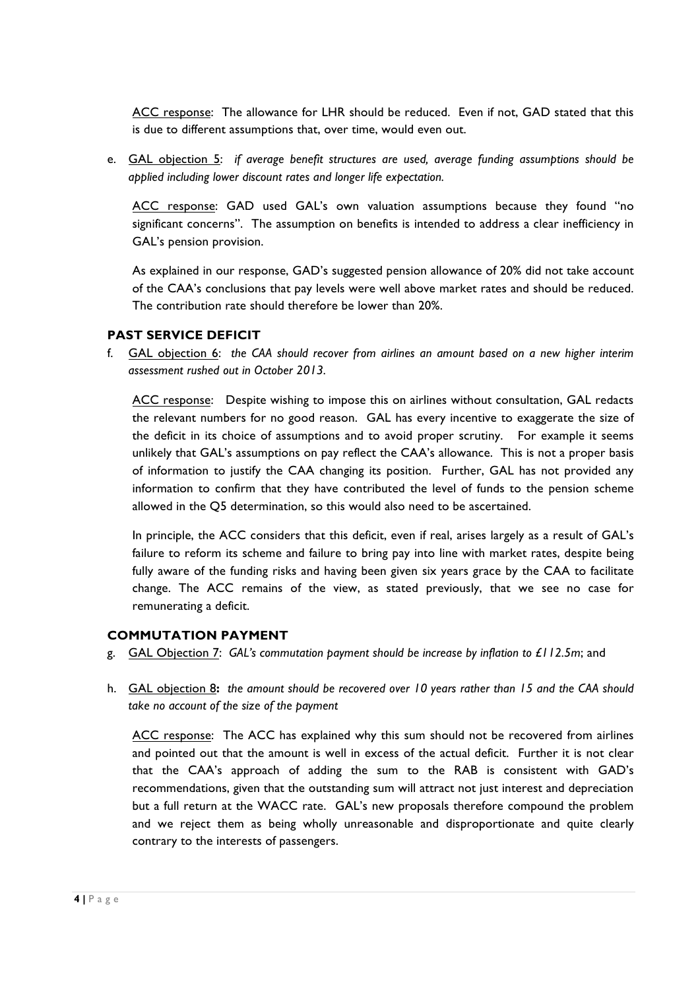ACC response: The allowance for LHR should be reduced. Even if not, GAD stated that this is due to different assumptions that, over time, would even out.

e. GAL objection 5: *if average benefit structures are used, average funding assumptions should be applied including lower discount rates and longer life expectation.*

ACC response: GAD used GAL's own valuation assumptions because they found "no significant concerns". The assumption on benefits is intended to address a clear inefficiency in GAL's pension provision.

As explained in our response, GAD's suggested pension allowance of 20% did not take account of the CAA's conclusions that pay levels were well above market rates and should be reduced. The contribution rate should therefore be lower than 20%.

## **PAST SERVICE DEFICIT**

f. GAL objection 6: *the CAA should recover from airlines an amount based on a new higher interim assessment rushed out in October 2013.* 

ACC response: Despite wishing to impose this on airlines without consultation, GAL redacts the relevant numbers for no good reason. GAL has every incentive to exaggerate the size of the deficit in its choice of assumptions and to avoid proper scrutiny. For example it seems unlikely that GAL's assumptions on pay reflect the CAA's allowance. This is not a proper basis of information to justify the CAA changing its position. Further, GAL has not provided any information to confirm that they have contributed the level of funds to the pension scheme allowed in the Q5 determination, so this would also need to be ascertained.

In principle, the ACC considers that this deficit, even if real, arises largely as a result of GAL's failure to reform its scheme and failure to bring pay into line with market rates, despite being fully aware of the funding risks and having been given six years grace by the CAA to facilitate change. The ACC remains of the view, as stated previously, that we see no case for remunerating a deficit.

### **COMMUTATION PAYMENT**

- g. GAL Objection 7: *GAL's commutation payment should be increase by inflation to £112.5m*; and
- h. GAL objection 8**:** *the amount should be recovered over 10 years rather than 15 and the CAA should take no account of the size of the payment*

ACC response: The ACC has explained why this sum should not be recovered from airlines and pointed out that the amount is well in excess of the actual deficit. Further it is not clear that the CAA's approach of adding the sum to the RAB is consistent with GAD's recommendations, given that the outstanding sum will attract not just interest and depreciation but a full return at the WACC rate. GAL's new proposals therefore compound the problem and we reject them as being wholly unreasonable and disproportionate and quite clearly contrary to the interests of passengers.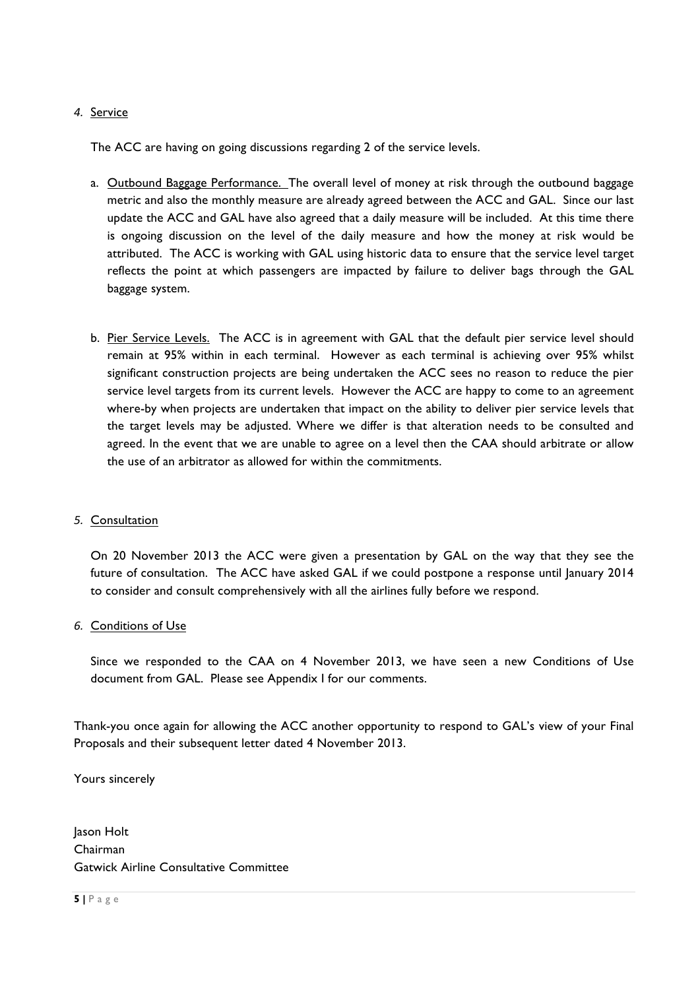### *4.* Service

The ACC are having on going discussions regarding 2 of the service levels.

- a. Outbound Baggage Performance. The overall level of money at risk through the outbound baggage metric and also the monthly measure are already agreed between the ACC and GAL. Since our last update the ACC and GAL have also agreed that a daily measure will be included. At this time there is ongoing discussion on the level of the daily measure and how the money at risk would be attributed. The ACC is working with GAL using historic data to ensure that the service level target reflects the point at which passengers are impacted by failure to deliver bags through the GAL baggage system.
- b. Pier Service Levels. The ACC is in agreement with GAL that the default pier service level should remain at 95% within in each terminal. However as each terminal is achieving over 95% whilst significant construction projects are being undertaken the ACC sees no reason to reduce the pier service level targets from its current levels. However the ACC are happy to come to an agreement where-by when projects are undertaken that impact on the ability to deliver pier service levels that the target levels may be adjusted. Where we differ is that alteration needs to be consulted and agreed. In the event that we are unable to agree on a level then the CAA should arbitrate or allow the use of an arbitrator as allowed for within the commitments.

#### *5.* Consultation

On 20 November 2013 the ACC were given a presentation by GAL on the way that they see the future of consultation. The ACC have asked GAL if we could postpone a response until January 2014 to consider and consult comprehensively with all the airlines fully before we respond.

### *6.* Conditions of Use

Since we responded to the CAA on 4 November 2013, we have seen a new Conditions of Use document from GAL. Please see Appendix I for our comments.

Thank-you once again for allowing the ACC another opportunity to respond to GAL's view of your Final Proposals and their subsequent letter dated 4 November 2013.

Yours sincerely

Jason Holt Chairman Gatwick Airline Consultative Committee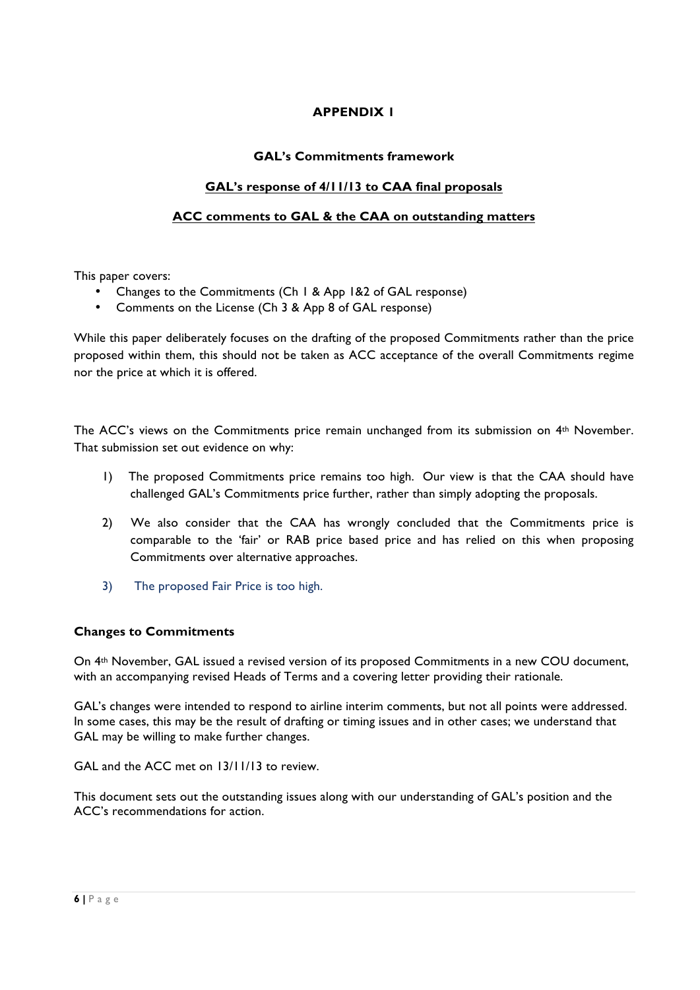# **APPENDIX 1**

### **GAL's Commitments framework**

## **GAL's response of 4/11/13 to CAA final proposals**

## **ACC comments to GAL & the CAA on outstanding matters**

This paper covers:

- Changes to the Commitments (Ch 1 & App 1&2 of GAL response)
- Comments on the License (Ch 3 & App 8 of GAL response)

While this paper deliberately focuses on the drafting of the proposed Commitments rather than the price proposed within them, this should not be taken as ACC acceptance of the overall Commitments regime nor the price at which it is offered.

The ACC's views on the Commitments price remain unchanged from its submission on 4th November. That submission set out evidence on why:

- 1) The proposed Commitments price remains too high. Our view is that the CAA should have challenged GAL's Commitments price further, rather than simply adopting the proposals.
- 2) We also consider that the CAA has wrongly concluded that the Commitments price is comparable to the 'fair' or RAB price based price and has relied on this when proposing Commitments over alternative approaches.
- 3) The proposed Fair Price is too high.

### **Changes to Commitments**

On 4th November, GAL issued a revised version of its proposed Commitments in a new COU document, with an accompanying revised Heads of Terms and a covering letter providing their rationale.

GAL's changes were intended to respond to airline interim comments, but not all points were addressed. In some cases, this may be the result of drafting or timing issues and in other cases; we understand that GAL may be willing to make further changes.

GAL and the ACC met on 13/11/13 to review.

This document sets out the outstanding issues along with our understanding of GAL's position and the ACC's recommendations for action.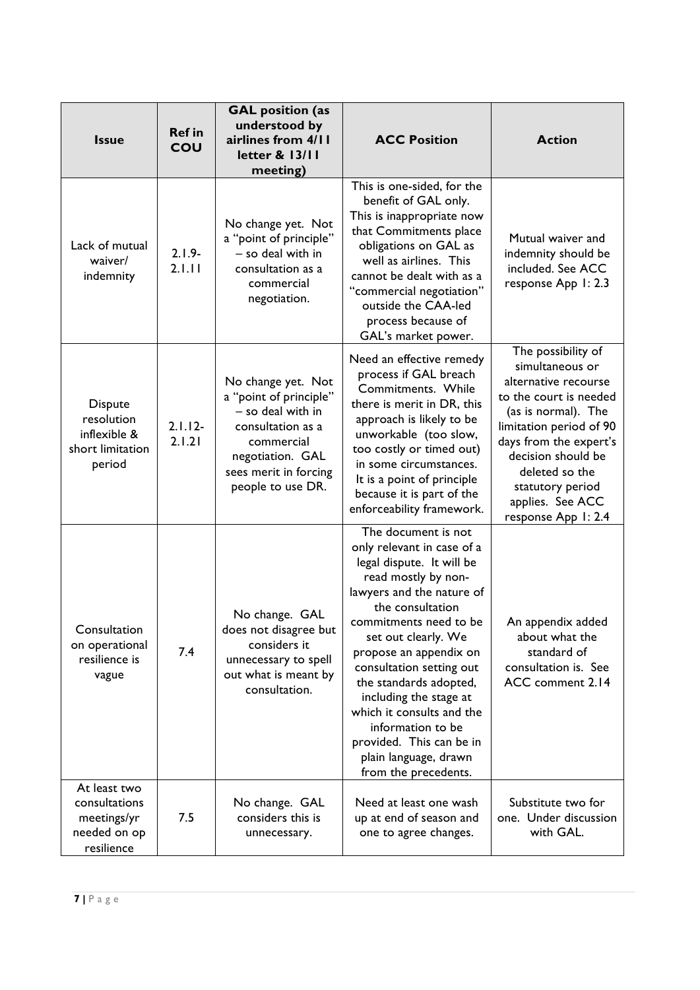| <b>Issue</b>                                                               | <b>Ref in</b><br>COU | <b>GAL</b> position (as<br>understood by<br>airlines from 4/11<br>letter & 13/11<br>meeting)                                                                           | <b>ACC Position</b>                                                                                                                                                                                                                                                                                                                                                                                                                              | <b>Action</b>                                                                                                                                                                                                                                                              |
|----------------------------------------------------------------------------|----------------------|------------------------------------------------------------------------------------------------------------------------------------------------------------------------|--------------------------------------------------------------------------------------------------------------------------------------------------------------------------------------------------------------------------------------------------------------------------------------------------------------------------------------------------------------------------------------------------------------------------------------------------|----------------------------------------------------------------------------------------------------------------------------------------------------------------------------------------------------------------------------------------------------------------------------|
| Lack of mutual<br>waiver/<br>indemnity                                     | $2.1.9 -$<br>2.1.11  | No change yet. Not<br>a "point of principle"<br>- so deal with in<br>consultation as a<br>commercial<br>negotiation.                                                   | This is one-sided, for the<br>benefit of GAL only.<br>This is inappropriate now<br>that Commitments place<br>obligations on GAL as<br>well as airlines. This<br>cannot be dealt with as a<br>"commercial negotiation"<br>outside the CAA-led<br>process because of<br>GAL's market power.                                                                                                                                                        | Mutual waiver and<br>indemnity should be<br>included. See ACC<br>response App 1: 2.3                                                                                                                                                                                       |
| <b>Dispute</b><br>resolution<br>inflexible &<br>short limitation<br>period | $2.1.12 -$<br>2.1.21 | No change yet. Not<br>a "point of principle"<br>- so deal with in<br>consultation as a<br>commercial<br>negotiation. GAL<br>sees merit in forcing<br>people to use DR. | Need an effective remedy<br>process if GAL breach<br>Commitments. While<br>there is merit in DR, this<br>approach is likely to be<br>unworkable (too slow,<br>too costly or timed out)<br>in some circumstances.<br>It is a point of principle<br>because it is part of the<br>enforceability framework.                                                                                                                                         | The possibility of<br>simultaneous or<br>alternative recourse<br>to the court is needed<br>(as is normal). The<br>limitation period of 90<br>days from the expert's<br>decision should be<br>deleted so the<br>statutory period<br>applies. See ACC<br>response App 1: 2.4 |
| Consultation<br>on operational<br>resilience is<br>vague                   | 7.4                  | No change. GAL<br>does not disagree but<br>considers it<br>unnecessary to spell<br>out what is meant by<br>consultation.                                               | The document is not<br>only relevant in case of a<br>legal dispute. It will be<br>read mostly by non-<br>lawyers and the nature of<br>the consultation<br>commitments need to be<br>set out clearly. We<br>propose an appendix on<br>consultation setting out<br>the standards adopted,<br>including the stage at<br>which it consults and the<br>information to be<br>provided. This can be in<br>plain language, drawn<br>from the precedents. | An appendix added<br>about what the<br>standard of<br>consultation is. See<br>ACC comment 2.14                                                                                                                                                                             |
| At least two<br>consultations<br>meetings/yr<br>needed on op<br>resilience | 7.5                  | No change. GAL<br>considers this is<br>unnecessary.                                                                                                                    | Need at least one wash<br>up at end of season and<br>one to agree changes.                                                                                                                                                                                                                                                                                                                                                                       | Substitute two for<br>one. Under discussion<br>with GAL.                                                                                                                                                                                                                   |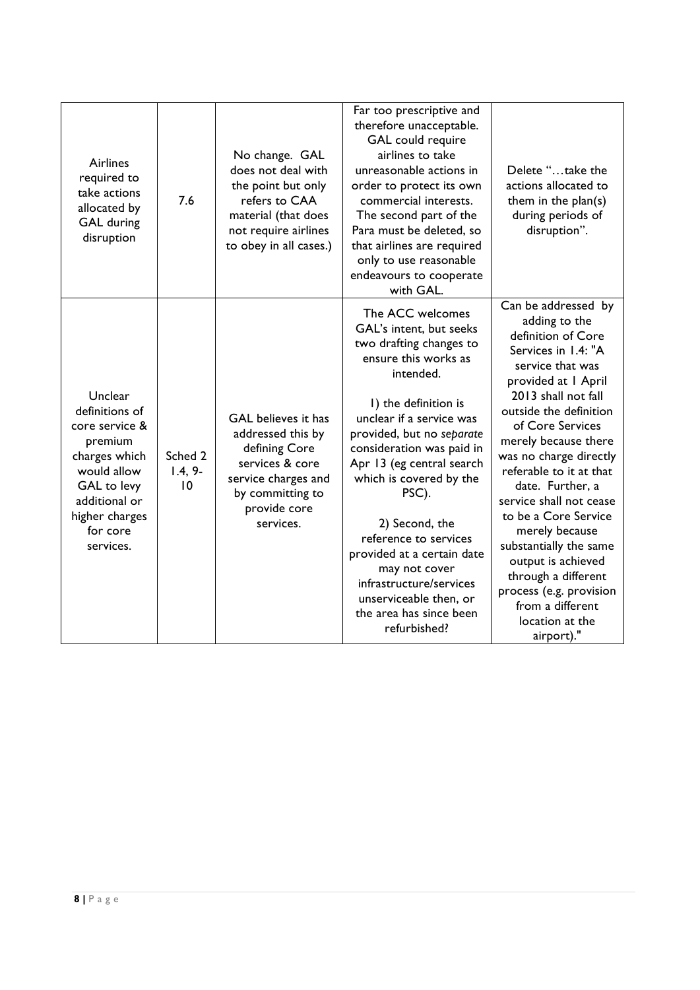| Airlines<br>required to<br>take actions<br>allocated by<br><b>GAL</b> during<br>disruption                                                                        | 7.6                        | No change. GAL<br>does not deal with<br>the point but only<br>refers to CAA<br>material (that does<br>not require airlines<br>to obey in all cases.) | Far too prescriptive and<br>therefore unacceptable.<br>GAL could require<br>airlines to take<br>unreasonable actions in<br>order to protect its own<br>commercial interests.<br>The second part of the<br>Para must be deleted, so<br>that airlines are required<br>only to use reasonable<br>endeavours to cooperate<br>with GAL.                                                                                                                                                   | Delete "take the<br>actions allocated to<br>them in the plan(s)<br>during periods of<br>disruption".                                                                                                                                                                                                                                                                                                                                                                                                                           |
|-------------------------------------------------------------------------------------------------------------------------------------------------------------------|----------------------------|------------------------------------------------------------------------------------------------------------------------------------------------------|--------------------------------------------------------------------------------------------------------------------------------------------------------------------------------------------------------------------------------------------------------------------------------------------------------------------------------------------------------------------------------------------------------------------------------------------------------------------------------------|--------------------------------------------------------------------------------------------------------------------------------------------------------------------------------------------------------------------------------------------------------------------------------------------------------------------------------------------------------------------------------------------------------------------------------------------------------------------------------------------------------------------------------|
| Unclear<br>definitions of<br>core service &<br>premium<br>charges which<br>would allow<br>GAL to levy<br>additional or<br>higher charges<br>for core<br>services. | Sched 2<br>$1.4, 9-$<br>10 | GAL believes it has<br>addressed this by<br>defining Core<br>services & core<br>service charges and<br>by committing to<br>provide core<br>services. | The ACC welcomes<br>GAL's intent, but seeks<br>two drafting changes to<br>ensure this works as<br>intended.<br>I) the definition is<br>unclear if a service was<br>provided, but no separate<br>consideration was paid in<br>Apr 13 (eg central search<br>which is covered by the<br>PSC).<br>2) Second, the<br>reference to services<br>provided at a certain date<br>may not cover<br>infrastructure/services<br>unserviceable then, or<br>the area has since been<br>refurbished? | Can be addressed by<br>adding to the<br>definition of Core<br>Services in 1.4: "A<br>service that was<br>provided at I April<br>2013 shall not fall<br>outside the definition<br>of Core Services<br>merely because there<br>was no charge directly<br>referable to it at that<br>date. Further, a<br>service shall not cease<br>to be a Core Service<br>merely because<br>substantially the same<br>output is achieved<br>through a different<br>process (e.g. provision<br>from a different<br>location at the<br>airport)." |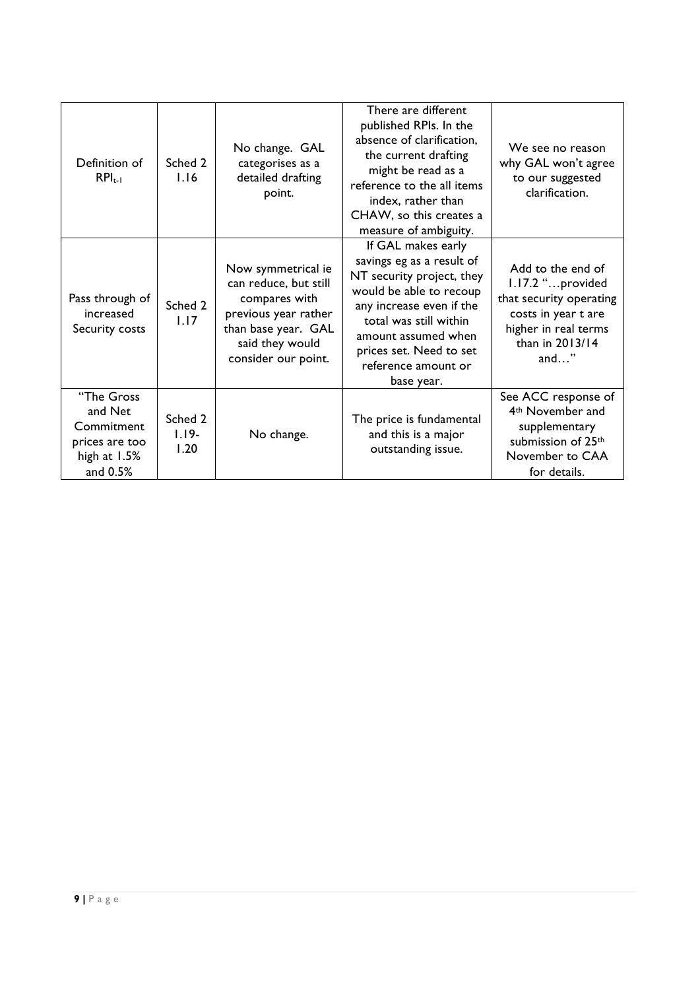| Definition of<br>$RPI_{t-1}$                                                        | Sched 2<br>1.16            | No change. GAL<br>categorises as a<br>detailed drafting<br>point.                                                                                     | There are different<br>published RPIs. In the<br>absence of clarification,<br>the current drafting<br>might be read as a<br>reference to the all items<br>index, rather than<br>CHAW, so this creates a<br>measure of ambiguity.                     | We see no reason<br>why GAL won't agree<br>to our suggested<br>clarification.                                                                        |
|-------------------------------------------------------------------------------------|----------------------------|-------------------------------------------------------------------------------------------------------------------------------------------------------|------------------------------------------------------------------------------------------------------------------------------------------------------------------------------------------------------------------------------------------------------|------------------------------------------------------------------------------------------------------------------------------------------------------|
| Pass through of<br>increased<br>Security costs                                      | Sched 2<br>1.17            | Now symmetrical ie<br>can reduce, but still<br>compares with<br>previous year rather<br>than base year. GAL<br>said they would<br>consider our point. | If GAL makes early<br>savings eg as a result of<br>NT security project, they<br>would be able to recoup<br>any increase even if the<br>total was still within<br>amount assumed when<br>prices set. Need to set<br>reference amount or<br>base year. | Add to the end of<br>1.17.2 "provided<br>that security operating<br>costs in year t are<br>higher in real terms<br>than in 2013/14<br>and $\ldots$ " |
| "The Gross<br>and Net<br>Commitment<br>prices are too<br>high at $1.5%$<br>and 0.5% | Sched 2<br>$1.19-$<br>1.20 | No change.                                                                                                                                            | The price is fundamental<br>and this is a major<br>outstanding issue.                                                                                                                                                                                | See ACC response of<br>4 <sup>th</sup> November and<br>supplementary<br>submission of 25th<br>November to CAA<br>for details.                        |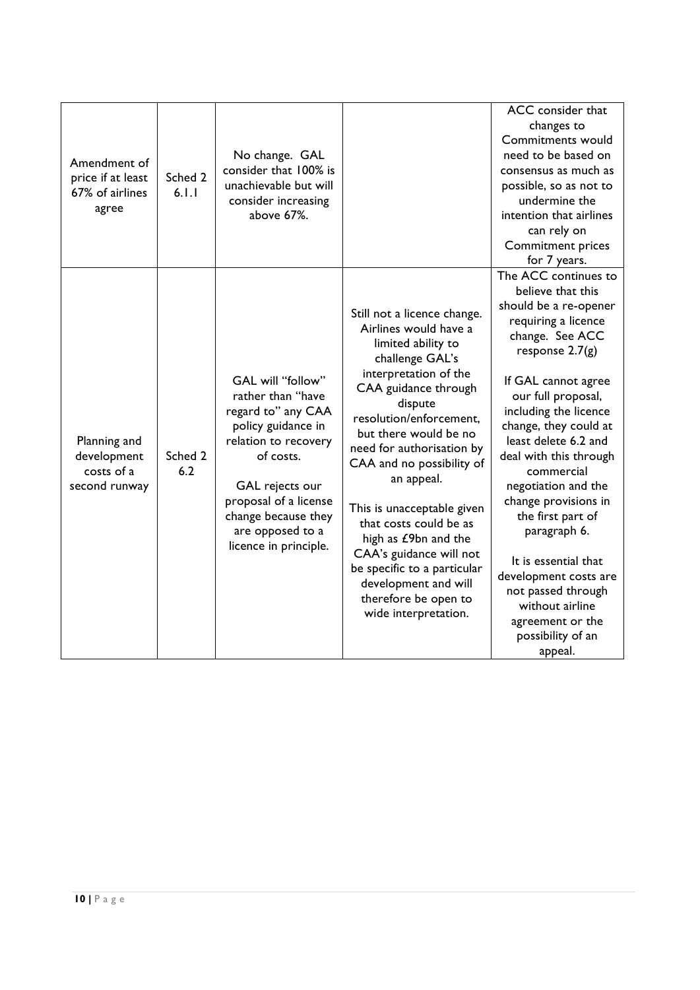| Amendment of<br>price if at least<br>67% of airlines<br>agree | Sched 2<br>6.1.1 | No change. GAL<br>consider that 100% is<br>unachievable but will<br>consider increasing<br>above 67%.                                                                                                                                   |                                                                                                                                                                                                                                                                                                                                                                                                                                                                                                         | ACC consider that<br>changes to<br><b>Commitments would</b><br>need to be based on<br>consensus as much as<br>possible, so as not to<br>undermine the<br>intention that airlines<br>can rely on<br><b>Commitment prices</b><br>for 7 years.                                                                                                                                                                                                                                                                                        |
|---------------------------------------------------------------|------------------|-----------------------------------------------------------------------------------------------------------------------------------------------------------------------------------------------------------------------------------------|---------------------------------------------------------------------------------------------------------------------------------------------------------------------------------------------------------------------------------------------------------------------------------------------------------------------------------------------------------------------------------------------------------------------------------------------------------------------------------------------------------|------------------------------------------------------------------------------------------------------------------------------------------------------------------------------------------------------------------------------------------------------------------------------------------------------------------------------------------------------------------------------------------------------------------------------------------------------------------------------------------------------------------------------------|
| Planning and<br>development<br>costs of a<br>second runway    | Sched 2<br>6.2   | GAL will "follow"<br>rather than "have<br>regard to" any CAA<br>policy guidance in<br>relation to recovery<br>of costs.<br>GAL rejects our<br>proposal of a license<br>change because they<br>are opposed to a<br>licence in principle. | Still not a licence change.<br>Airlines would have a<br>limited ability to<br>challenge GAL's<br>interpretation of the<br>CAA guidance through<br>dispute<br>resolution/enforcement,<br>but there would be no<br>need for authorisation by<br>CAA and no possibility of<br>an appeal.<br>This is unacceptable given<br>that costs could be as<br>high as £9bn and the<br>CAA's guidance will not<br>be specific to a particular<br>development and will<br>therefore be open to<br>wide interpretation. | The ACC continues to<br>believe that this<br>should be a re-opener<br>requiring a licence<br>change. See ACC<br>response $2.7(g)$<br>If GAL cannot agree<br>our full proposal,<br>including the licence<br>change, they could at<br>least delete 6.2 and<br>deal with this through<br>commercial<br>negotiation and the<br>change provisions in<br>the first part of<br>paragraph 6.<br>It is essential that<br>development costs are<br>not passed through<br>without airline<br>agreement or the<br>possibility of an<br>appeal. |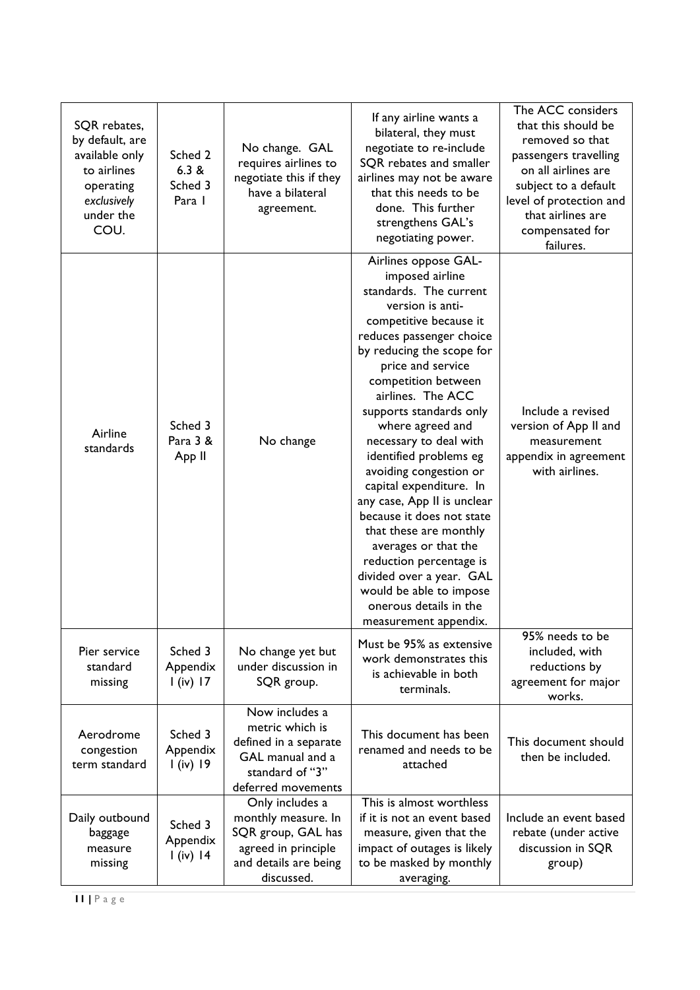| SQR rebates,<br>by default, are<br>available only<br>to airlines<br>operating<br>exclusively<br>under the<br>COU. | Sched 2<br>6.3 &<br>Sched 3<br>Para I | No change. GAL<br>requires airlines to<br>negotiate this if they<br>have a bilateral<br>agreement.                         | If any airline wants a<br>bilateral, they must<br>negotiate to re-include<br>SQR rebates and smaller<br>airlines may not be aware<br>that this needs to be<br>done. This further<br>strengthens GAL's<br>negotiating power.                                                                                                                                                                                                                                                                                                                                                                                                                          | The ACC considers<br>that this should be<br>removed so that<br>passengers travelling<br>on all airlines are<br>subject to a default<br>level of protection and<br>that airlines are<br>compensated for<br>failures. |
|-------------------------------------------------------------------------------------------------------------------|---------------------------------------|----------------------------------------------------------------------------------------------------------------------------|------------------------------------------------------------------------------------------------------------------------------------------------------------------------------------------------------------------------------------------------------------------------------------------------------------------------------------------------------------------------------------------------------------------------------------------------------------------------------------------------------------------------------------------------------------------------------------------------------------------------------------------------------|---------------------------------------------------------------------------------------------------------------------------------------------------------------------------------------------------------------------|
| Airline<br>standards                                                                                              | Sched 3<br>Para 3 &<br>App II         | No change                                                                                                                  | Airlines oppose GAL-<br>imposed airline<br>standards. The current<br>version is anti-<br>competitive because it<br>reduces passenger choice<br>by reducing the scope for<br>price and service<br>competition between<br>airlines. The ACC<br>supports standards only<br>where agreed and<br>necessary to deal with<br>identified problems eg<br>avoiding congestion or<br>capital expenditure. In<br>any case, App II is unclear<br>because it does not state<br>that these are monthly<br>averages or that the<br>reduction percentage is<br>divided over a year. GAL<br>would be able to impose<br>onerous details in the<br>measurement appendix. | Include a revised<br>version of App II and<br>measurement<br>appendix in agreement<br>with airlines.                                                                                                                |
| Pier service<br>standard<br>missing                                                                               | Sched 3<br>Appendix<br>$l$ (iv) 17    | No change yet but<br>under discussion in<br>SQR group.                                                                     | Must be 95% as extensive<br>work demonstrates this<br>is achievable in both<br>terminals.                                                                                                                                                                                                                                                                                                                                                                                                                                                                                                                                                            | 95% needs to be<br>included, with<br>reductions by<br>agreement for major<br>works.                                                                                                                                 |
| Aerodrome<br>congestion<br>term standard                                                                          | Sched 3<br>Appendix<br>$l$ (iv) 19    | Now includes a<br>metric which is<br>defined in a separate<br>GAL manual and a<br>standard of "3"<br>deferred movements    | This document has been<br>renamed and needs to be<br>attached                                                                                                                                                                                                                                                                                                                                                                                                                                                                                                                                                                                        | This document should<br>then be included.                                                                                                                                                                           |
| Daily outbound<br>baggage<br>measure<br>missing                                                                   | Sched 3<br>Appendix<br>$I$ (iv) 14    | Only includes a<br>monthly measure. In<br>SQR group, GAL has<br>agreed in principle<br>and details are being<br>discussed. | This is almost worthless<br>if it is not an event based<br>measure, given that the<br>impact of outages is likely<br>to be masked by monthly<br>averaging.                                                                                                                                                                                                                                                                                                                                                                                                                                                                                           | Include an event based<br>rebate (under active<br>discussion in SQR<br>group)                                                                                                                                       |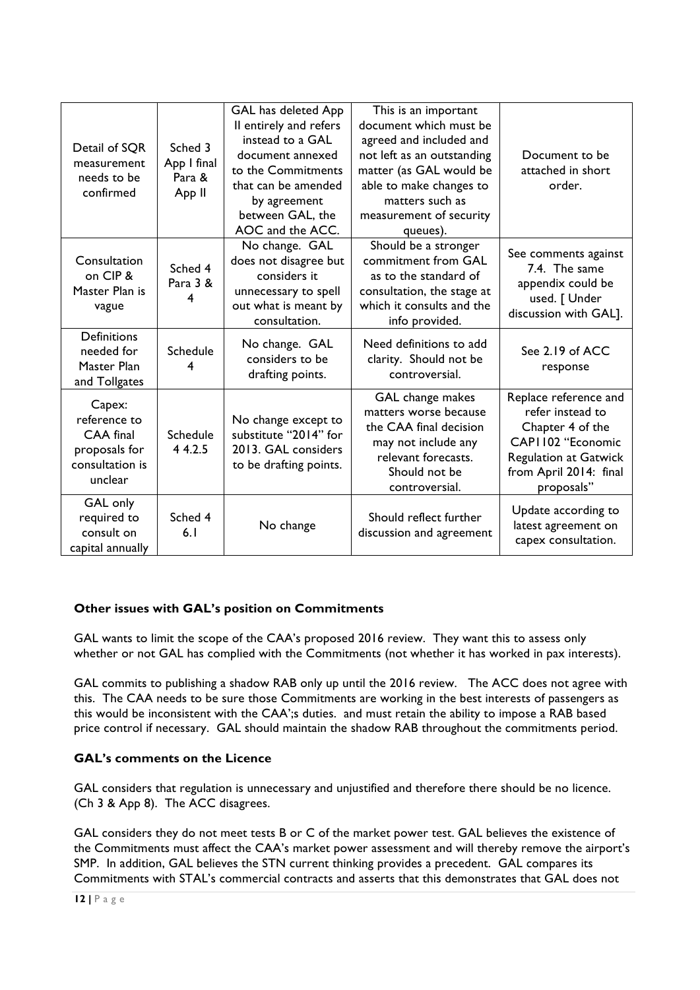| Detail of SQR<br>measurement<br>needs to be<br>confirmed                           | Sched 3<br>App I final<br>Para &<br>App II | GAL has deleted App<br>Il entirely and refers<br>instead to a GAL<br>document annexed<br>to the Commitments<br>that can be amended<br>by agreement<br>between GAL, the<br>AOC and the ACC. | This is an important<br>document which must be<br>agreed and included and<br>not left as an outstanding<br>matter (as GAL would be<br>able to make changes to<br>matters such as<br>measurement of security<br>queues). | Document to be<br>attached in short<br>order.                                                                                                               |
|------------------------------------------------------------------------------------|--------------------------------------------|--------------------------------------------------------------------------------------------------------------------------------------------------------------------------------------------|-------------------------------------------------------------------------------------------------------------------------------------------------------------------------------------------------------------------------|-------------------------------------------------------------------------------------------------------------------------------------------------------------|
| Consultation<br>on CIP &<br>Master Plan is<br>vague                                | Sched 4<br>Para 3 &<br>4                   | No change. GAL<br>does not disagree but<br>considers it<br>unnecessary to spell<br>out what is meant by<br>consultation.                                                                   | Should be a stronger<br>commitment from GAL<br>as to the standard of<br>consultation, the stage at<br>which it consults and the<br>info provided.                                                                       | See comments against<br>7.4. The same<br>appendix could be<br>used. [ Under<br>discussion with GAL].                                                        |
| <b>Definitions</b><br>needed for<br>Master Plan<br>and Tollgates                   | <b>Schedule</b><br>4                       | No change. GAL<br>considers to be<br>drafting points.                                                                                                                                      | Need definitions to add<br>clarity. Should not be<br>controversial.                                                                                                                                                     | See 2.19 of ACC<br>response                                                                                                                                 |
| Capex:<br>reference to<br>CAA final<br>proposals for<br>consultation is<br>unclear | Schedule<br>4 4.2.5                        | No change except to<br>substitute "2014" for<br>2013. GAL considers<br>to be drafting points.                                                                                              | GAL change makes<br>matters worse because<br>the CAA final decision<br>may not include any<br>relevant forecasts.<br>Should not be<br>controversial.                                                                    | Replace reference and<br>refer instead to<br>Chapter 4 of the<br>CAPI 102 "Economic<br><b>Regulation at Gatwick</b><br>from April 2014: final<br>proposals" |
| GAL only<br>required to<br>consult on<br>capital annually                          | Sched 4<br>6.1                             | No change                                                                                                                                                                                  | Should reflect further<br>discussion and agreement                                                                                                                                                                      | Update according to<br>latest agreement on<br>capex consultation.                                                                                           |

### **Other issues with GAL's position on Commitments**

GAL wants to limit the scope of the CAA's proposed 2016 review. They want this to assess only whether or not GAL has complied with the Commitments (not whether it has worked in pax interests).

GAL commits to publishing a shadow RAB only up until the 2016 review. The ACC does not agree with this. The CAA needs to be sure those Commitments are working in the best interests of passengers as this would be inconsistent with the CAA';s duties. and must retain the ability to impose a RAB based price control if necessary. GAL should maintain the shadow RAB throughout the commitments period.

### **GAL's comments on the Licence**

GAL considers that regulation is unnecessary and unjustified and therefore there should be no licence. (Ch 3 & App 8). The ACC disagrees.

GAL considers they do not meet tests B or C of the market power test. GAL believes the existence of the Commitments must affect the CAA's market power assessment and will thereby remove the airport's SMP. In addition, GAL believes the STN current thinking provides a precedent. GAL compares its Commitments with STAL's commercial contracts and asserts that this demonstrates that GAL does not